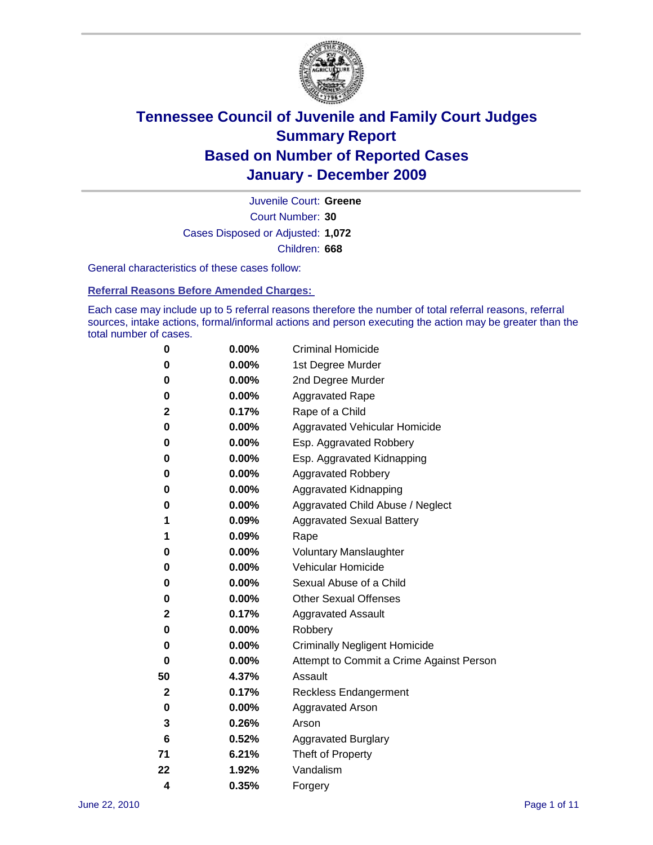

Court Number: **30** Juvenile Court: **Greene** Cases Disposed or Adjusted: **1,072** Children: **668**

General characteristics of these cases follow:

**Referral Reasons Before Amended Charges:** 

Each case may include up to 5 referral reasons therefore the number of total referral reasons, referral sources, intake actions, formal/informal actions and person executing the action may be greater than the total number of cases.

| 0  | 0.00%    | <b>Criminal Homicide</b>                 |
|----|----------|------------------------------------------|
| 0  | 0.00%    | 1st Degree Murder                        |
| 0  | 0.00%    | 2nd Degree Murder                        |
| 0  | 0.00%    | <b>Aggravated Rape</b>                   |
| 2  | 0.17%    | Rape of a Child                          |
| 0  | 0.00%    | Aggravated Vehicular Homicide            |
| 0  | 0.00%    | Esp. Aggravated Robbery                  |
| 0  | 0.00%    | Esp. Aggravated Kidnapping               |
| 0  | 0.00%    | <b>Aggravated Robbery</b>                |
| 0  | 0.00%    | Aggravated Kidnapping                    |
| 0  | 0.00%    | Aggravated Child Abuse / Neglect         |
| 1  | 0.09%    | <b>Aggravated Sexual Battery</b>         |
| 1  | 0.09%    | Rape                                     |
| 0  | $0.00\%$ | <b>Voluntary Manslaughter</b>            |
| 0  | 0.00%    | Vehicular Homicide                       |
| 0  | 0.00%    | Sexual Abuse of a Child                  |
| 0  | 0.00%    | <b>Other Sexual Offenses</b>             |
| 2  | 0.17%    | <b>Aggravated Assault</b>                |
| 0  | $0.00\%$ | Robbery                                  |
| 0  | 0.00%    | <b>Criminally Negligent Homicide</b>     |
| 0  | 0.00%    | Attempt to Commit a Crime Against Person |
| 50 | 4.37%    | Assault                                  |
| 2  | 0.17%    | <b>Reckless Endangerment</b>             |
| 0  | 0.00%    | <b>Aggravated Arson</b>                  |
| 3  | 0.26%    | Arson                                    |
| 6  | 0.52%    | <b>Aggravated Burglary</b>               |
| 71 | 6.21%    | Theft of Property                        |
| 22 | 1.92%    | Vandalism                                |
| 4  | 0.35%    | Forgery                                  |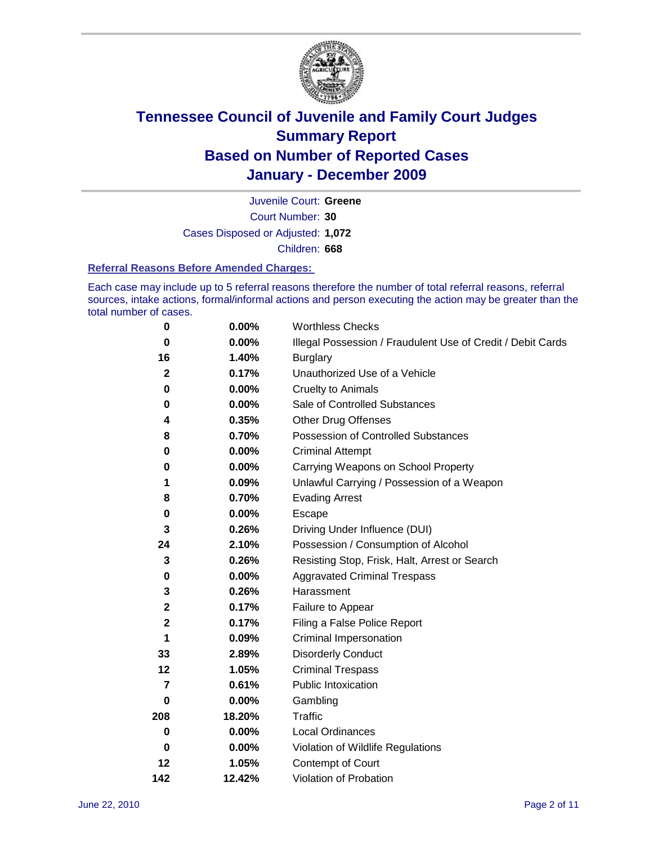

Court Number: **30** Juvenile Court: **Greene** Cases Disposed or Adjusted: **1,072** Children: **668**

#### **Referral Reasons Before Amended Charges:**

Each case may include up to 5 referral reasons therefore the number of total referral reasons, referral sources, intake actions, formal/informal actions and person executing the action may be greater than the total number of cases.

| $\pmb{0}$      | 0.00%    | <b>Worthless Checks</b>                                     |
|----------------|----------|-------------------------------------------------------------|
| $\bf{0}$       | 0.00%    | Illegal Possession / Fraudulent Use of Credit / Debit Cards |
| 16             | 1.40%    | <b>Burglary</b>                                             |
| $\mathbf{2}$   | 0.17%    | Unauthorized Use of a Vehicle                               |
| 0              | $0.00\%$ | <b>Cruelty to Animals</b>                                   |
| $\bf{0}$       | $0.00\%$ | Sale of Controlled Substances                               |
| 4              | 0.35%    | <b>Other Drug Offenses</b>                                  |
| 8              | 0.70%    | Possession of Controlled Substances                         |
| 0              | $0.00\%$ | <b>Criminal Attempt</b>                                     |
| 0              | 0.00%    | Carrying Weapons on School Property                         |
| 1              | 0.09%    | Unlawful Carrying / Possession of a Weapon                  |
| 8              | 0.70%    | <b>Evading Arrest</b>                                       |
| 0              | 0.00%    | Escape                                                      |
| 3              | 0.26%    | Driving Under Influence (DUI)                               |
| 24             | 2.10%    | Possession / Consumption of Alcohol                         |
| 3              | 0.26%    | Resisting Stop, Frisk, Halt, Arrest or Search               |
| 0              | $0.00\%$ | <b>Aggravated Criminal Trespass</b>                         |
| 3              | 0.26%    | Harassment                                                  |
| $\mathbf 2$    | 0.17%    | Failure to Appear                                           |
| $\mathbf 2$    | 0.17%    | Filing a False Police Report                                |
| 1              | 0.09%    | Criminal Impersonation                                      |
| 33             | 2.89%    | <b>Disorderly Conduct</b>                                   |
| 12             | 1.05%    | <b>Criminal Trespass</b>                                    |
| $\overline{7}$ | 0.61%    | Public Intoxication                                         |
| 0              | $0.00\%$ | Gambling                                                    |
| 208            | 18.20%   | <b>Traffic</b>                                              |
| 0              | $0.00\%$ | Local Ordinances                                            |
| $\mathbf 0$    | $0.00\%$ | Violation of Wildlife Regulations                           |
| 12             | 1.05%    | Contempt of Court                                           |
| 142            | 12.42%   | Violation of Probation                                      |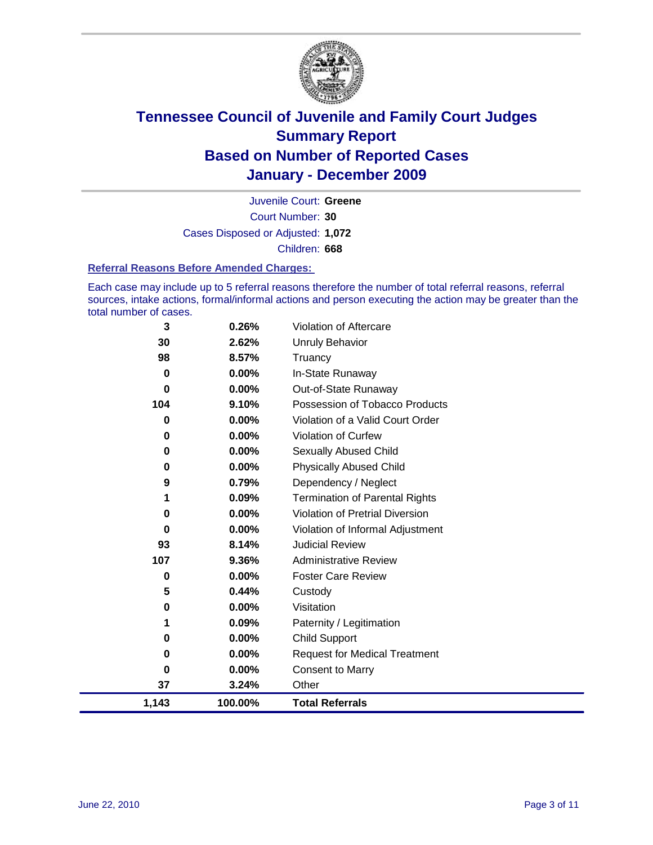

Court Number: **30** Juvenile Court: **Greene** Cases Disposed or Adjusted: **1,072** Children: **668**

#### **Referral Reasons Before Amended Charges:**

Each case may include up to 5 referral reasons therefore the number of total referral reasons, referral sources, intake actions, formal/informal actions and person executing the action may be greater than the total number of cases.

| 0.44%<br>0.00%<br>0.09%<br>0.00%<br>0.00%<br>$0.00\%$<br>3.24% | Custody<br>Visitation<br>Paternity / Legitimation<br><b>Child Support</b><br><b>Request for Medical Treatment</b><br><b>Consent to Marry</b><br>Other |
|----------------------------------------------------------------|-------------------------------------------------------------------------------------------------------------------------------------------------------|
|                                                                |                                                                                                                                                       |
|                                                                |                                                                                                                                                       |
|                                                                |                                                                                                                                                       |
|                                                                |                                                                                                                                                       |
|                                                                |                                                                                                                                                       |
|                                                                |                                                                                                                                                       |
|                                                                |                                                                                                                                                       |
| 0.00%                                                          | <b>Foster Care Review</b>                                                                                                                             |
| 9.36%                                                          | <b>Administrative Review</b>                                                                                                                          |
| 8.14%                                                          | <b>Judicial Review</b>                                                                                                                                |
| 0.00%                                                          | Violation of Informal Adjustment                                                                                                                      |
|                                                                | <b>Violation of Pretrial Diversion</b>                                                                                                                |
|                                                                | <b>Termination of Parental Rights</b>                                                                                                                 |
|                                                                | Dependency / Neglect                                                                                                                                  |
|                                                                | <b>Physically Abused Child</b>                                                                                                                        |
|                                                                | Sexually Abused Child                                                                                                                                 |
|                                                                | <b>Violation of Curfew</b>                                                                                                                            |
|                                                                | Violation of a Valid Court Order                                                                                                                      |
|                                                                | Possession of Tobacco Products                                                                                                                        |
|                                                                | Out-of-State Runaway                                                                                                                                  |
|                                                                | Truancy<br>In-State Runaway                                                                                                                           |
|                                                                | <b>Unruly Behavior</b>                                                                                                                                |
|                                                                | Violation of Aftercare                                                                                                                                |
|                                                                | 0.26%<br>2.62%<br>8.57%<br>0.00%<br>$0.00\%$<br>9.10%<br>$0.00\%$<br>0.00%<br>$0.00\%$<br>0.00%<br>0.79%<br>0.09%<br>0.00%                            |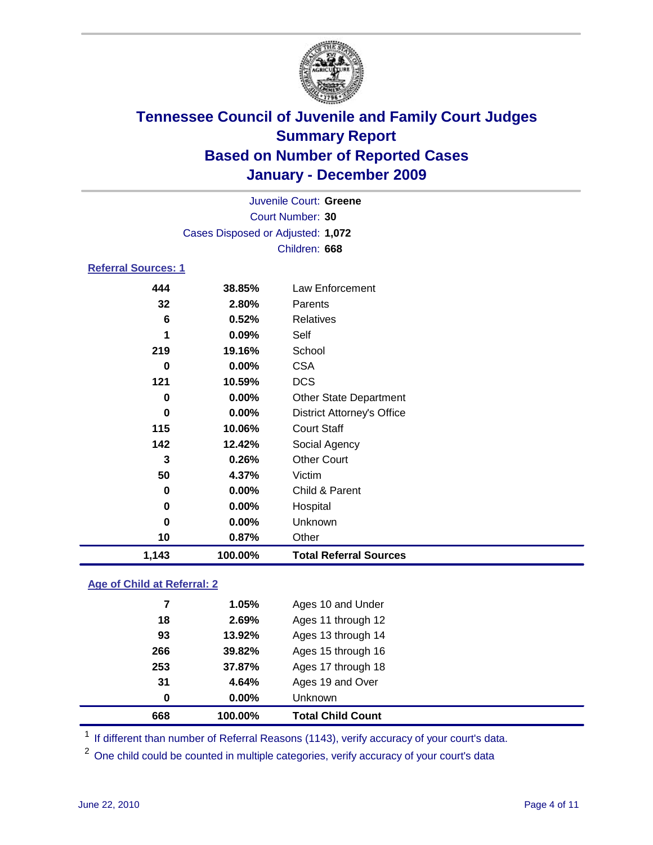

| Court Number: 30<br>Cases Disposed or Adjusted: 1,072<br>Children: 668<br><b>Referral Sources: 1</b><br><b>Law Enforcement</b><br>444<br>38.85%<br>32<br>2.80%<br>Parents<br>6<br>0.52%<br><b>Relatives</b><br>0.09%<br>Self<br>1<br>219<br>19.16%<br>School<br><b>CSA</b><br>0.00%<br>0<br><b>DCS</b><br>121<br>10.59%<br>$0.00\%$<br>0<br><b>Other State Department</b><br>$0.00\%$<br><b>District Attorney's Office</b><br>0<br>115<br>10.06%<br><b>Court Staff</b><br>142<br>Social Agency<br>12.42%<br><b>Other Court</b><br>0.26%<br>3<br>50<br>Victim<br>4.37%<br>0.00%<br>Child & Parent<br>0<br>0.00%<br>Hospital<br>0<br>$0.00\%$<br>Unknown<br>0<br>10<br>0.87%<br>Other<br>1,143<br>100.00%<br><b>Total Referral Sources</b> |  | Juvenile Court: Greene |  |  |  |  |
|------------------------------------------------------------------------------------------------------------------------------------------------------------------------------------------------------------------------------------------------------------------------------------------------------------------------------------------------------------------------------------------------------------------------------------------------------------------------------------------------------------------------------------------------------------------------------------------------------------------------------------------------------------------------------------------------------------------------------------------|--|------------------------|--|--|--|--|
|                                                                                                                                                                                                                                                                                                                                                                                                                                                                                                                                                                                                                                                                                                                                          |  |                        |  |  |  |  |
|                                                                                                                                                                                                                                                                                                                                                                                                                                                                                                                                                                                                                                                                                                                                          |  |                        |  |  |  |  |
|                                                                                                                                                                                                                                                                                                                                                                                                                                                                                                                                                                                                                                                                                                                                          |  |                        |  |  |  |  |
|                                                                                                                                                                                                                                                                                                                                                                                                                                                                                                                                                                                                                                                                                                                                          |  |                        |  |  |  |  |
|                                                                                                                                                                                                                                                                                                                                                                                                                                                                                                                                                                                                                                                                                                                                          |  |                        |  |  |  |  |
|                                                                                                                                                                                                                                                                                                                                                                                                                                                                                                                                                                                                                                                                                                                                          |  |                        |  |  |  |  |
|                                                                                                                                                                                                                                                                                                                                                                                                                                                                                                                                                                                                                                                                                                                                          |  |                        |  |  |  |  |
|                                                                                                                                                                                                                                                                                                                                                                                                                                                                                                                                                                                                                                                                                                                                          |  |                        |  |  |  |  |
|                                                                                                                                                                                                                                                                                                                                                                                                                                                                                                                                                                                                                                                                                                                                          |  |                        |  |  |  |  |
|                                                                                                                                                                                                                                                                                                                                                                                                                                                                                                                                                                                                                                                                                                                                          |  |                        |  |  |  |  |
|                                                                                                                                                                                                                                                                                                                                                                                                                                                                                                                                                                                                                                                                                                                                          |  |                        |  |  |  |  |
|                                                                                                                                                                                                                                                                                                                                                                                                                                                                                                                                                                                                                                                                                                                                          |  |                        |  |  |  |  |
|                                                                                                                                                                                                                                                                                                                                                                                                                                                                                                                                                                                                                                                                                                                                          |  |                        |  |  |  |  |
|                                                                                                                                                                                                                                                                                                                                                                                                                                                                                                                                                                                                                                                                                                                                          |  |                        |  |  |  |  |
|                                                                                                                                                                                                                                                                                                                                                                                                                                                                                                                                                                                                                                                                                                                                          |  |                        |  |  |  |  |
|                                                                                                                                                                                                                                                                                                                                                                                                                                                                                                                                                                                                                                                                                                                                          |  |                        |  |  |  |  |
|                                                                                                                                                                                                                                                                                                                                                                                                                                                                                                                                                                                                                                                                                                                                          |  |                        |  |  |  |  |
|                                                                                                                                                                                                                                                                                                                                                                                                                                                                                                                                                                                                                                                                                                                                          |  |                        |  |  |  |  |
|                                                                                                                                                                                                                                                                                                                                                                                                                                                                                                                                                                                                                                                                                                                                          |  |                        |  |  |  |  |
|                                                                                                                                                                                                                                                                                                                                                                                                                                                                                                                                                                                                                                                                                                                                          |  |                        |  |  |  |  |
|                                                                                                                                                                                                                                                                                                                                                                                                                                                                                                                                                                                                                                                                                                                                          |  |                        |  |  |  |  |
|                                                                                                                                                                                                                                                                                                                                                                                                                                                                                                                                                                                                                                                                                                                                          |  |                        |  |  |  |  |

### **Age of Child at Referral: 2**

| 668 | 100.00% | <b>Total Child Count</b> |
|-----|---------|--------------------------|
| 0   | 0.00%   | Unknown                  |
| 31  | 4.64%   | Ages 19 and Over         |
| 253 | 37.87%  | Ages 17 through 18       |
| 266 | 39.82%  | Ages 15 through 16       |
| 93  | 13.92%  | Ages 13 through 14       |
| 18  | 2.69%   | Ages 11 through 12       |
| 7   | 1.05%   | Ages 10 and Under        |
|     |         |                          |

<sup>1</sup> If different than number of Referral Reasons (1143), verify accuracy of your court's data.

<sup>2</sup> One child could be counted in multiple categories, verify accuracy of your court's data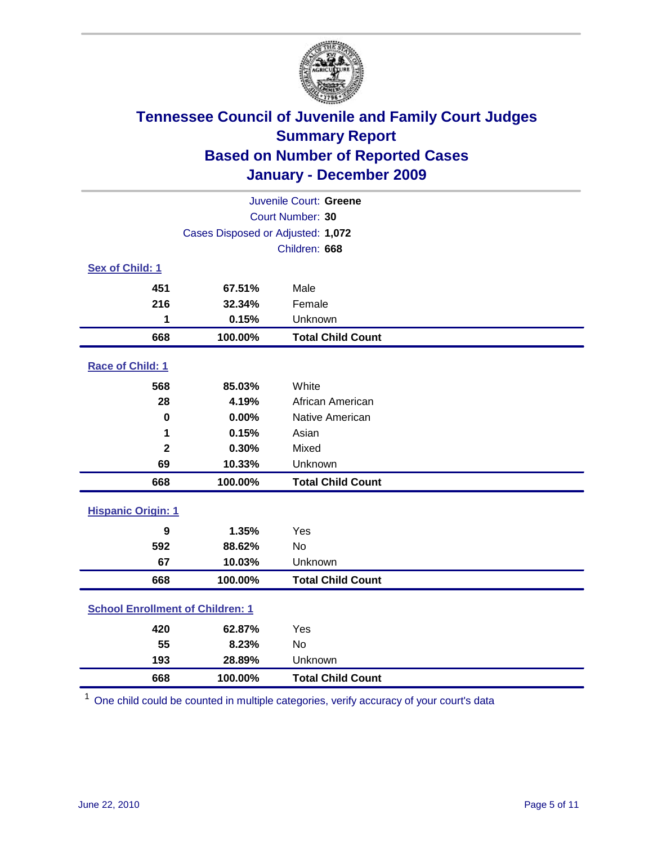

| Juvenile Court: Greene                  |                                   |                          |  |
|-----------------------------------------|-----------------------------------|--------------------------|--|
|                                         | Court Number: 30                  |                          |  |
|                                         | Cases Disposed or Adjusted: 1,072 |                          |  |
|                                         |                                   | Children: 668            |  |
| Sex of Child: 1                         |                                   |                          |  |
| 451                                     | 67.51%                            | Male                     |  |
| 216                                     | 32.34%                            | Female                   |  |
| 1                                       | 0.15%                             | Unknown                  |  |
| 668                                     | 100.00%                           | <b>Total Child Count</b> |  |
| Race of Child: 1                        |                                   |                          |  |
| 568                                     | 85.03%                            | White                    |  |
| 28                                      | 4.19%                             | African American         |  |
| 0                                       | 0.00%                             | Native American          |  |
| 1                                       | 0.15%                             | Asian                    |  |
| $\overline{\mathbf{2}}$                 | 0.30%                             | Mixed                    |  |
| 69                                      | 10.33%                            | Unknown                  |  |
| 668                                     | 100.00%                           | <b>Total Child Count</b> |  |
| <b>Hispanic Origin: 1</b>               |                                   |                          |  |
| 9                                       | 1.35%                             | Yes                      |  |
| 592                                     | 88.62%                            | <b>No</b>                |  |
| 67                                      | 10.03%                            | Unknown                  |  |
| 668                                     | 100.00%                           | <b>Total Child Count</b> |  |
| <b>School Enrollment of Children: 1</b> |                                   |                          |  |
| 420                                     | 62.87%                            | Yes                      |  |
| 55                                      | 8.23%                             | No                       |  |
| 193                                     | 28.89%                            | Unknown                  |  |
| 668                                     | 100.00%                           | <b>Total Child Count</b> |  |

One child could be counted in multiple categories, verify accuracy of your court's data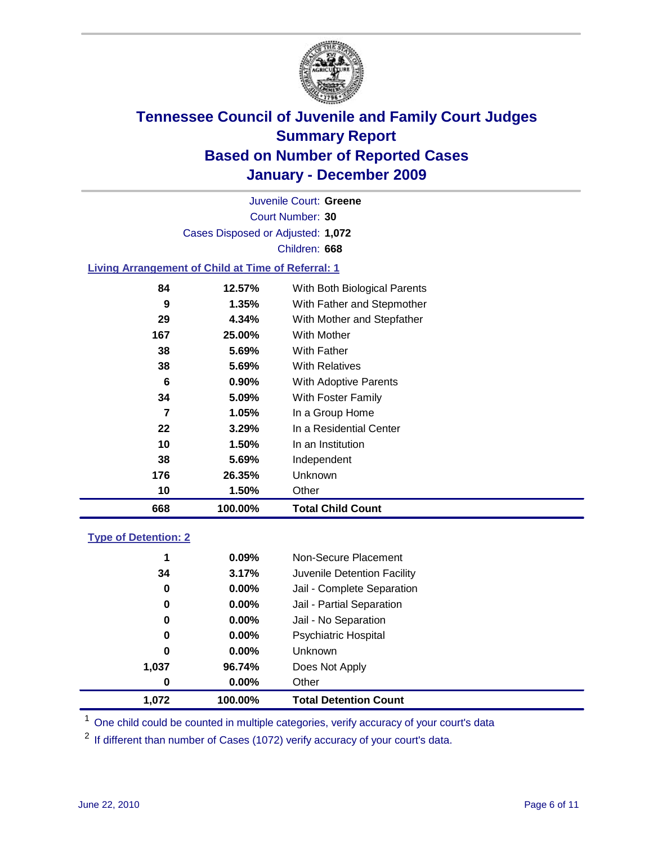

Court Number: **30** Juvenile Court: **Greene** Cases Disposed or Adjusted: **1,072** Children: **668**

#### **Living Arrangement of Child at Time of Referral: 1**

| 668            | 100.00%  | <b>Total Child Count</b>     |
|----------------|----------|------------------------------|
| 10             | 1.50%    | Other                        |
| 176            | 26.35%   | <b>Unknown</b>               |
| 38             | 5.69%    | Independent                  |
| 10             | 1.50%    | In an Institution            |
| 22             | 3.29%    | In a Residential Center      |
| $\overline{7}$ | 1.05%    | In a Group Home              |
| 34             | 5.09%    | With Foster Family           |
| 6              | $0.90\%$ | With Adoptive Parents        |
| 38             | $5.69\%$ | <b>With Relatives</b>        |
| 38             | 5.69%    | With Father                  |
| 167            | 25.00%   | <b>With Mother</b>           |
| 29             | 4.34%    | With Mother and Stepfather   |
| 9              | 1.35%    | With Father and Stepmother   |
| 84             | 12.57%   | With Both Biological Parents |
|                |          |                              |

#### **Type of Detention: 2**

| 1.072 | 100.00%  | <b>Total Detention Count</b> |  |
|-------|----------|------------------------------|--|
| 0     | 0.00%    | Other                        |  |
| 1,037 | 96.74%   | Does Not Apply               |  |
| 0     | $0.00\%$ | Unknown                      |  |
| 0     | $0.00\%$ | Psychiatric Hospital         |  |
| 0     | 0.00%    | Jail - No Separation         |  |
| 0     | $0.00\%$ | Jail - Partial Separation    |  |
| 0     | 0.00%    | Jail - Complete Separation   |  |
| 34    | 3.17%    | Juvenile Detention Facility  |  |
| 1     | 0.09%    | Non-Secure Placement         |  |
|       |          |                              |  |

<sup>1</sup> One child could be counted in multiple categories, verify accuracy of your court's data

<sup>2</sup> If different than number of Cases (1072) verify accuracy of your court's data.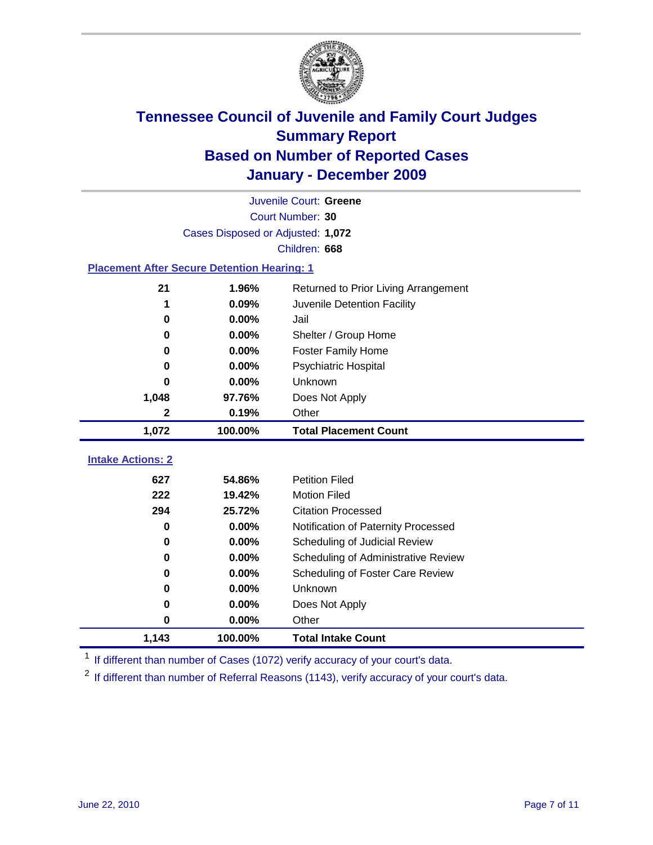

| Juvenile Court: Greene                             |                                   |                                      |  |  |  |
|----------------------------------------------------|-----------------------------------|--------------------------------------|--|--|--|
| Court Number: 30                                   |                                   |                                      |  |  |  |
|                                                    | Cases Disposed or Adjusted: 1,072 |                                      |  |  |  |
|                                                    |                                   | Children: 668                        |  |  |  |
| <b>Placement After Secure Detention Hearing: 1</b> |                                   |                                      |  |  |  |
| 21                                                 | 1.96%                             | Returned to Prior Living Arrangement |  |  |  |
| 1                                                  | 0.09%                             | Juvenile Detention Facility          |  |  |  |
| $\bf{0}$                                           | 0.00%                             | Jail                                 |  |  |  |
| 0                                                  | 0.00%                             | Shelter / Group Home                 |  |  |  |
| 0                                                  | 0.00%                             | Foster Family Home                   |  |  |  |
| 0                                                  | 0.00%                             | Psychiatric Hospital                 |  |  |  |
| 0                                                  | 0.00%                             | Unknown                              |  |  |  |
| 1,048                                              | 97.76%                            | Does Not Apply                       |  |  |  |
| 2                                                  | 0.19%                             | Other                                |  |  |  |
| 1,072                                              | 100.00%                           | <b>Total Placement Count</b>         |  |  |  |
|                                                    |                                   |                                      |  |  |  |
| <b>Intake Actions: 2</b>                           |                                   |                                      |  |  |  |
| 627                                                | 54.86%                            | <b>Petition Filed</b>                |  |  |  |
| 222                                                | 19.42%                            | <b>Motion Filed</b>                  |  |  |  |
| 294                                                | 25.72%                            | <b>Citation Processed</b>            |  |  |  |
| 0                                                  | 0.00%                             | Notification of Paternity Processed  |  |  |  |
| $\bf{0}$                                           | 0.00%                             | Scheduling of Judicial Review        |  |  |  |
| 0                                                  | 0.00%                             | Scheduling of Administrative Review  |  |  |  |
| 0                                                  | 0.00%                             | Scheduling of Foster Care Review     |  |  |  |
| 0                                                  | 0.00%                             | Unknown                              |  |  |  |
| 0                                                  | 0.00%                             | Does Not Apply                       |  |  |  |
| 0                                                  | 0.00%                             | Other                                |  |  |  |
| 1,143                                              | 100.00%                           | <b>Total Intake Count</b>            |  |  |  |

<sup>1</sup> If different than number of Cases (1072) verify accuracy of your court's data.

<sup>2</sup> If different than number of Referral Reasons (1143), verify accuracy of your court's data.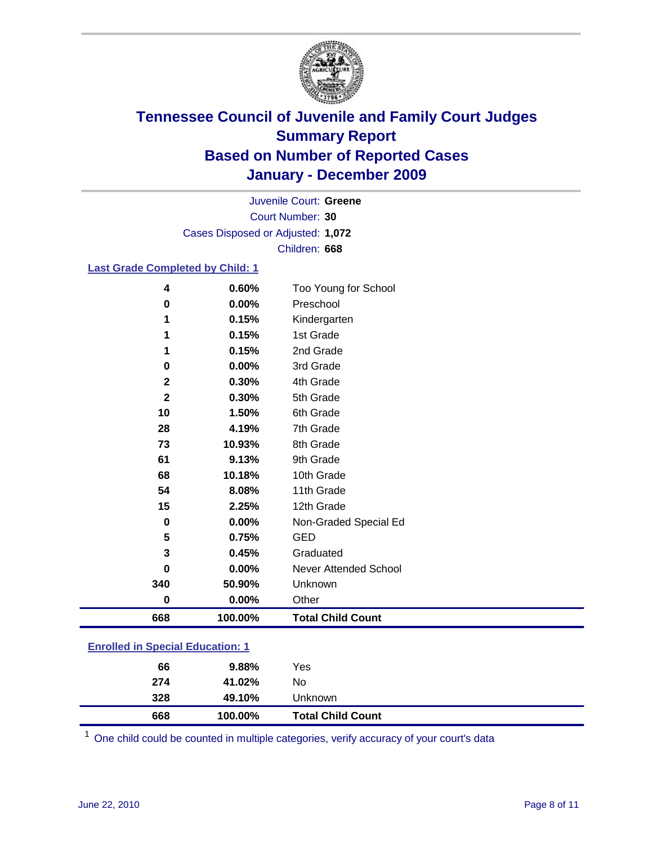

Court Number: **30** Juvenile Court: **Greene** Cases Disposed or Adjusted: **1,072** Children: **668**

#### **Last Grade Completed by Child: 1**

| 668          | 100.00% | <b>Total Child Count</b> |
|--------------|---------|--------------------------|
| $\bf{0}$     | 0.00%   | Other                    |
| 340          | 50.90%  | Unknown                  |
| 0            | 0.00%   | Never Attended School    |
| 3            | 0.45%   | Graduated                |
| 5            | 0.75%   | <b>GED</b>               |
| 0            | 0.00%   | Non-Graded Special Ed    |
| 15           | 2.25%   | 12th Grade               |
| 54           | 8.08%   | 11th Grade               |
| 68           | 10.18%  | 10th Grade               |
| 61           | 9.13%   | 9th Grade                |
| 73           | 10.93%  | 8th Grade                |
| 28           | 4.19%   | 7th Grade                |
| 10           | 1.50%   | 6th Grade                |
| $\mathbf{2}$ | 0.30%   | 5th Grade                |
| $\mathbf{2}$ | 0.30%   | 4th Grade                |
| 0            | 0.00%   | 3rd Grade                |
| 1            | 0.15%   | 2nd Grade                |
|              | 0.15%   | 1st Grade                |
|              | 0.15%   | Kindergarten             |
| 0            | 0.00%   | Preschool                |
| 4            | 0.60%   | Too Young for School     |

### **Enrolled in Special Education: 1**

| 66  | 9.88%   | Yes                      |
|-----|---------|--------------------------|
| 274 | 41.02%  | No                       |
| 328 | 49.10%  | Unknown                  |
| 668 | 100.00% | <b>Total Child Count</b> |

One child could be counted in multiple categories, verify accuracy of your court's data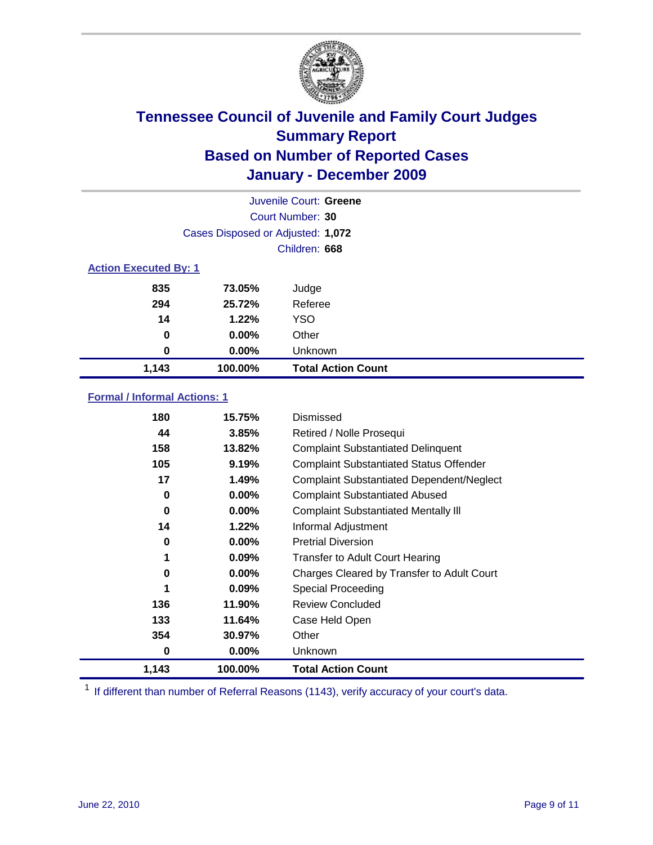

|       | Juvenile Court: Greene            |                           |  |  |
|-------|-----------------------------------|---------------------------|--|--|
|       | Court Number: 30                  |                           |  |  |
|       | Cases Disposed or Adjusted: 1,072 |                           |  |  |
|       | Children: 668                     |                           |  |  |
|       | <b>Action Executed By: 1</b>      |                           |  |  |
| 835   | 73.05%                            | Judge                     |  |  |
| 294   | 25.72%                            | Referee                   |  |  |
| 14    | 1.22%                             | <b>YSO</b>                |  |  |
| 0     | 0.00%                             | Other                     |  |  |
| 0     | 0.00%                             | Unknown                   |  |  |
| 1,143 | 100.00%                           | <b>Total Action Count</b> |  |  |

#### **Formal / Informal Actions: 1**

| 180   | 15.75%   | Dismissed                                        |
|-------|----------|--------------------------------------------------|
| 44    | 3.85%    | Retired / Nolle Prosequi                         |
| 158   | 13.82%   | <b>Complaint Substantiated Delinquent</b>        |
| 105   | 9.19%    | <b>Complaint Substantiated Status Offender</b>   |
| 17    | 1.49%    | <b>Complaint Substantiated Dependent/Neglect</b> |
| 0     | $0.00\%$ | <b>Complaint Substantiated Abused</b>            |
| 0     | $0.00\%$ | <b>Complaint Substantiated Mentally III</b>      |
| 14    | 1.22%    | Informal Adjustment                              |
| 0     | $0.00\%$ | <b>Pretrial Diversion</b>                        |
| 1     | 0.09%    | <b>Transfer to Adult Court Hearing</b>           |
| 0     | $0.00\%$ | Charges Cleared by Transfer to Adult Court       |
|       | $0.09\%$ | Special Proceeding                               |
| 136   | 11.90%   | <b>Review Concluded</b>                          |
| 133   | 11.64%   | Case Held Open                                   |
| 354   | 30.97%   | Other                                            |
| 0     | $0.00\%$ | <b>Unknown</b>                                   |
| 1,143 | 100.00%  | <b>Total Action Count</b>                        |

<sup>1</sup> If different than number of Referral Reasons (1143), verify accuracy of your court's data.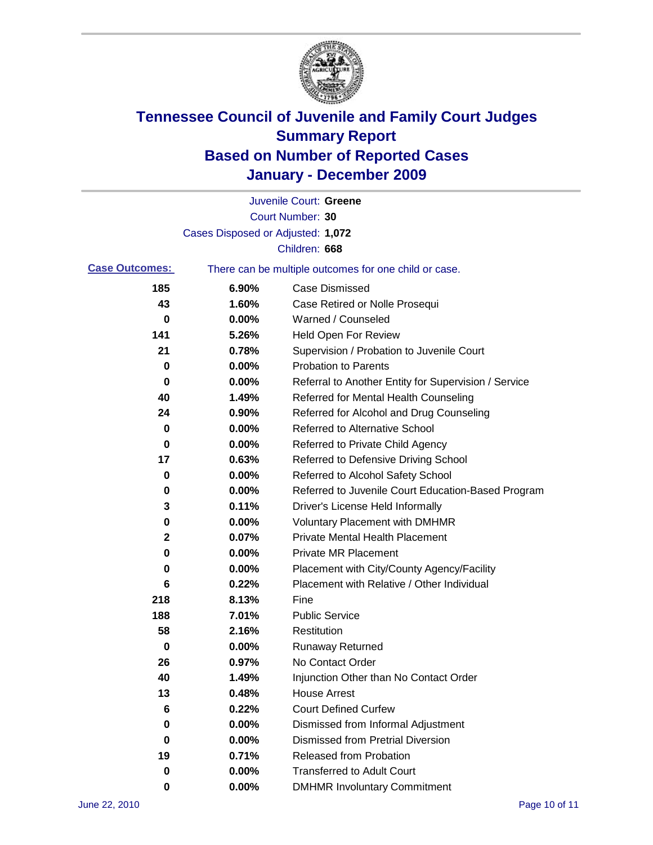

|                       |                                   | Juvenile Court: Greene                                |
|-----------------------|-----------------------------------|-------------------------------------------------------|
|                       |                                   | Court Number: 30                                      |
|                       | Cases Disposed or Adjusted: 1,072 |                                                       |
|                       |                                   | Children: 668                                         |
| <b>Case Outcomes:</b> |                                   | There can be multiple outcomes for one child or case. |
| 185                   | 6.90%                             | <b>Case Dismissed</b>                                 |
| 43                    | 1.60%                             | Case Retired or Nolle Prosequi                        |
| 0                     | 0.00%                             | Warned / Counseled                                    |
| 141                   | 5.26%                             | <b>Held Open For Review</b>                           |
| 21                    | 0.78%                             | Supervision / Probation to Juvenile Court             |
| 0                     | 0.00%                             | <b>Probation to Parents</b>                           |
| 0                     | 0.00%                             | Referral to Another Entity for Supervision / Service  |
| 40                    | 1.49%                             | Referred for Mental Health Counseling                 |
| 24                    | 0.90%                             | Referred for Alcohol and Drug Counseling              |
| 0                     | 0.00%                             | <b>Referred to Alternative School</b>                 |
| 0                     | 0.00%                             | Referred to Private Child Agency                      |
| 17                    | 0.63%                             | Referred to Defensive Driving School                  |
| 0                     | 0.00%                             | Referred to Alcohol Safety School                     |
| 0                     | 0.00%                             | Referred to Juvenile Court Education-Based Program    |
| 3                     | 0.11%                             | Driver's License Held Informally                      |
| 0                     | 0.00%                             | <b>Voluntary Placement with DMHMR</b>                 |
| 2                     | 0.07%                             | <b>Private Mental Health Placement</b>                |
| 0                     | 0.00%                             | <b>Private MR Placement</b>                           |
| 0                     | 0.00%                             | Placement with City/County Agency/Facility            |
| 6                     | 0.22%                             | Placement with Relative / Other Individual            |
| 218                   | 8.13%                             | Fine                                                  |
| 188                   | 7.01%                             | <b>Public Service</b>                                 |
| 58                    | 2.16%                             | Restitution                                           |
| 0                     | 0.00%                             | <b>Runaway Returned</b>                               |
| 26                    | 0.97%                             | No Contact Order                                      |
| 40                    | 1.49%                             | Injunction Other than No Contact Order                |
| 13                    | 0.48%                             | <b>House Arrest</b>                                   |
| 6                     | 0.22%                             | <b>Court Defined Curfew</b>                           |
| 0                     | 0.00%                             | Dismissed from Informal Adjustment                    |
| 0                     | 0.00%                             | <b>Dismissed from Pretrial Diversion</b>              |
| 19                    | 0.71%                             | <b>Released from Probation</b>                        |
| 0                     | 0.00%                             | <b>Transferred to Adult Court</b>                     |
| 0                     | $0.00\%$                          | <b>DMHMR Involuntary Commitment</b>                   |